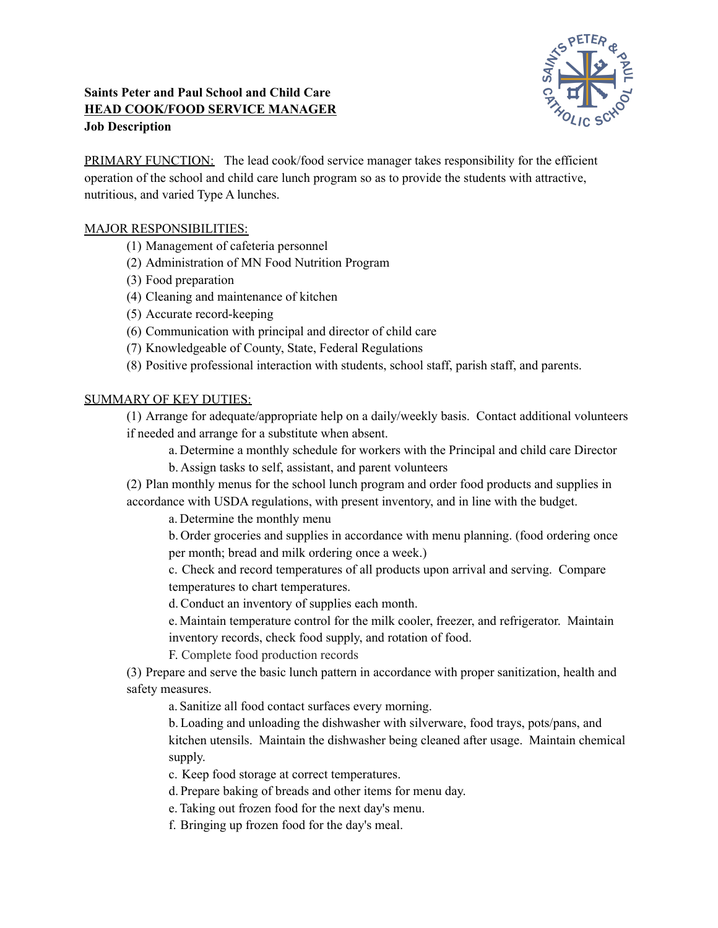# **Saints Peter and Paul School and Child Care HEAD COOK/FOOD SERVICE MANAGER Job Description**



PRIMARY FUNCTION: The lead cook/food service manager takes responsibility for the efficient operation of the school and child care lunch program so as to provide the students with attractive, nutritious, and varied Type A lunches.

## MAJOR RESPONSIBILITIES:

- (1) Management of cafeteria personnel
- (2) Administration of MN Food Nutrition Program
- (3) Food preparation
- (4) Cleaning and maintenance of kitchen
- (5) Accurate record-keeping
- (6) Communication with principal and director of child care
- (7) Knowledgeable of County, State, Federal Regulations
- (8) Positive professional interaction with students, school staff, parish staff, and parents.

# SUMMARY OF KEY DUTIES:

(1) Arrange for adequate/appropriate help on a daily/weekly basis. Contact additional volunteers if needed and arrange for a substitute when absent.

- a. Determine a monthly schedule for workers with the Principal and child care Director
- b. Assign tasks to self, assistant, and parent volunteers
- (2) Plan monthly menus for the school lunch program and order food products and supplies in accordance with USDA regulations, with present inventory, and in line with the budget.

a. Determine the monthly menu

b. Order groceries and supplies in accordance with menu planning. (food ordering once per month; bread and milk ordering once a week.)

c. Check and record temperatures of all products upon arrival and serving. Compare temperatures to chart temperatures.

d.Conduct an inventory of supplies each month.

e. Maintain temperature control for the milk cooler, freezer, and refrigerator. Maintain inventory records, check food supply, and rotation of food.

F. Complete food production records

(3) Prepare and serve the basic lunch pattern in accordance with proper sanitization, health and safety measures.

a. Sanitize all food contact surfaces every morning.

b. Loading and unloading the dishwasher with silverware, food trays, pots/pans, and kitchen utensils. Maintain the dishwasher being cleaned after usage. Maintain chemical supply.

- c. Keep food storage at correct temperatures.
- d. Prepare baking of breads and other items for menu day.
- e. Taking out frozen food for the next day's menu.
- f. Bringing up frozen food for the day's meal.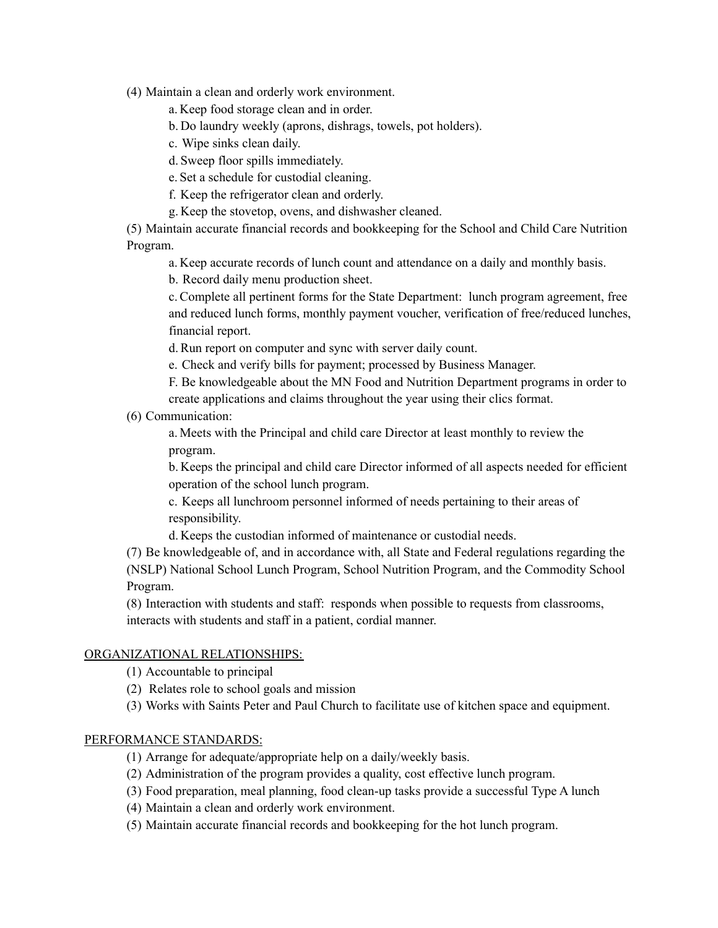(4) Maintain a clean and orderly work environment.

a. Keep food storage clean and in order.

b. Do laundry weekly (aprons, dishrags, towels, pot holders).

c. Wipe sinks clean daily.

d. Sweep floor spills immediately.

e. Set a schedule for custodial cleaning.

f. Keep the refrigerator clean and orderly.

g. Keep the stovetop, ovens, and dishwasher cleaned.

(5) Maintain accurate financial records and bookkeeping for the School and Child Care Nutrition Program.

a. Keep accurate records of lunch count and attendance on a daily and monthly basis.

b. Record daily menu production sheet.

c.Complete all pertinent forms for the State Department: lunch program agreement, free and reduced lunch forms, monthly payment voucher, verification of free/reduced lunches, financial report.

d.Run report on computer and sync with server daily count.

e. Check and verify bills for payment; processed by Business Manager.

F. Be knowledgeable about the MN Food and Nutrition Department programs in order to create applications and claims throughout the year using their clics format.

(6) Communication:

a. Meets with the Principal and child care Director at least monthly to review the program.

b. Keeps the principal and child care Director informed of all aspects needed for efficient operation of the school lunch program.

c. Keeps all lunchroom personnel informed of needs pertaining to their areas of responsibility.

d. Keeps the custodian informed of maintenance or custodial needs.

(7) Be knowledgeable of, and in accordance with, all State and Federal regulations regarding the (NSLP) National School Lunch Program, School Nutrition Program, and the Commodity School Program.

(8) Interaction with students and staff: responds when possible to requests from classrooms, interacts with students and staff in a patient, cordial manner.

## ORGANIZATIONAL RELATIONSHIPS:

(1) Accountable to principal

(2) Relates role to school goals and mission

(3) Works with Saints Peter and Paul Church to facilitate use of kitchen space and equipment.

#### PERFORMANCE STANDARDS:

(1) Arrange for adequate/appropriate help on a daily/weekly basis.

(2) Administration of the program provides a quality, cost effective lunch program.

(3) Food preparation, meal planning, food clean-up tasks provide a successful Type A lunch

(4) Maintain a clean and orderly work environment.

(5) Maintain accurate financial records and bookkeeping for the hot lunch program.